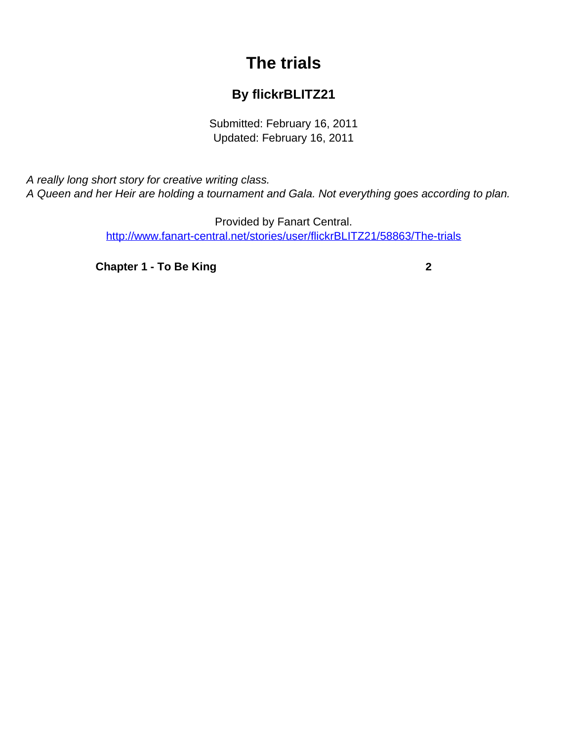## **The trials**

## **By flickrBLITZ21**

Submitted: February 16, 2011 Updated: February 16, 2011

<span id="page-0-0"></span>A really long short story for creative writing class. A Queen and her Heir are holding a tournament and Gala. Not everything goes according to plan.

> Provided by Fanart Central. [http://www.fanart-central.net/stories/user/flickrBLITZ21/58863/The-trials](#page-0-0)

**[Chapter 1 - To Be King](#page-1-0)**<br>
2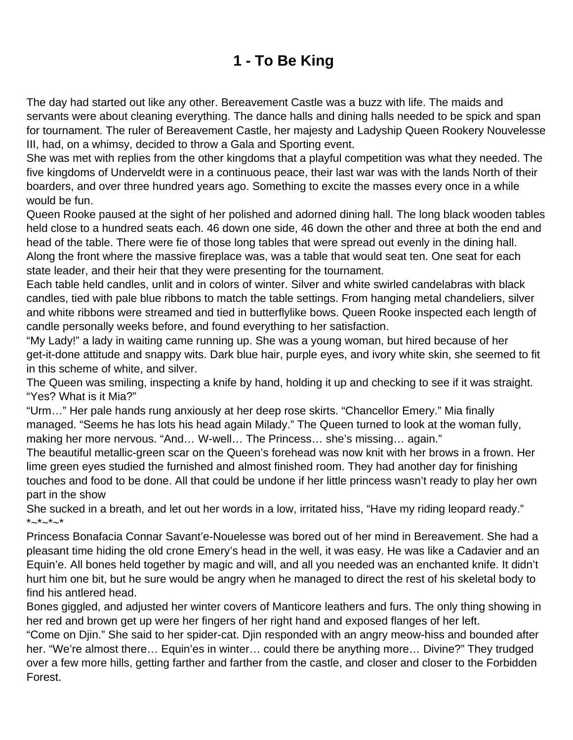## **1 - To Be King**

<span id="page-1-0"></span>The day had started out like any other. Bereavement Castle was a buzz with life. The maids and servants were about cleaning everything. The dance halls and dining halls needed to be spick and span for tournament. The ruler of Bereavement Castle, her majesty and Ladyship Queen Rookery Nouvelesse III, had, on a whimsy, decided to throw a Gala and Sporting event.

She was met with replies from the other kingdoms that a playful competition was what they needed. The five kingdoms of Underveldt were in a continuous peace, their last war was with the lands North of their boarders, and over three hundred years ago. Something to excite the masses every once in a while would be fun.

Queen Rooke paused at the sight of her polished and adorned dining hall. The long black wooden tables held close to a hundred seats each. 46 down one side, 46 down the other and three at both the end and head of the table. There were fie of those long tables that were spread out evenly in the dining hall. Along the front where the massive fireplace was, was a table that would seat ten. One seat for each state leader, and their heir that they were presenting for the tournament.

Each table held candles, unlit and in colors of winter. Silver and white swirled candelabras with black candles, tied with pale blue ribbons to match the table settings. From hanging metal chandeliers, silver and white ribbons were streamed and tied in butterflylike bows. Queen Rooke inspected each length of candle personally weeks before, and found everything to her satisfaction.

"My Lady!" a lady in waiting came running up. She was a young woman, but hired because of her get-it-done attitude and snappy wits. Dark blue hair, purple eyes, and ivory white skin, she seemed to fit in this scheme of white, and silver.

The Queen was smiling, inspecting a knife by hand, holding it up and checking to see if it was straight. "Yes? What is it Mia?"

"Urm…" Her pale hands rung anxiously at her deep rose skirts. "Chancellor Emery." Mia finally managed. "Seems he has lots his head again Milady." The Queen turned to look at the woman fully, making her more nervous. "And… W-well… The Princess… she's missing… again."

The beautiful metallic-green scar on the Queen's forehead was now knit with her brows in a frown. Her lime green eyes studied the furnished and almost finished room. They had another day for finishing touches and food to be done. All that could be undone if her little princess wasn't ready to play her own part in the show

She sucked in a breath, and let out her words in a low, irritated hiss, "Have my riding leopard ready."  $*_{\sim}*_{\sim}*_{\sim}*$ 

Princess Bonafacia Connar Savant'e-Nouelesse was bored out of her mind in Bereavement. She had a pleasant time hiding the old crone Emery's head in the well, it was easy. He was like a Cadavier and an Equin'e. All bones held together by magic and will, and all you needed was an enchanted knife. It didn't hurt him one bit, but he sure would be angry when he managed to direct the rest of his skeletal body to find his antlered head.

Bones giggled, and adjusted her winter covers of Manticore leathers and furs. The only thing showing in her red and brown get up were her fingers of her right hand and exposed flanges of her left.

"Come on Djin." She said to her spider-cat. Djin responded with an angry meow-hiss and bounded after her. "We're almost there… Equin'es in winter… could there be anything more… Divine?" They trudged over a few more hills, getting farther and farther from the castle, and closer and closer to the Forbidden Forest.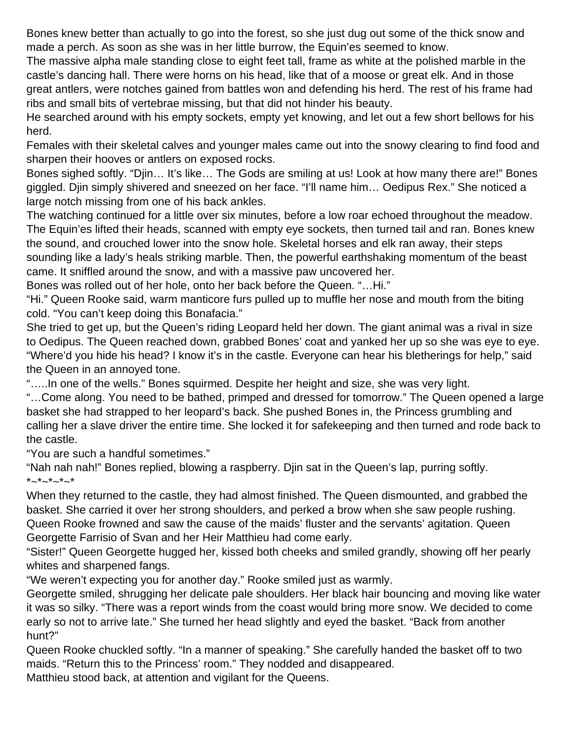Bones knew better than actually to go into the forest, so she just dug out some of the thick snow and made a perch. As soon as she was in her little burrow, the Equin'es seemed to know.

The massive alpha male standing close to eight feet tall, frame as white at the polished marble in the castle's dancing hall. There were horns on his head, like that of a moose or great elk. And in those great antlers, were notches gained from battles won and defending his herd. The rest of his frame had ribs and small bits of vertebrae missing, but that did not hinder his beauty.

He searched around with his empty sockets, empty yet knowing, and let out a few short bellows for his herd.

Females with their skeletal calves and younger males came out into the snowy clearing to find food and sharpen their hooves or antlers on exposed rocks.

Bones sighed softly. "Djin… It's like… The Gods are smiling at us! Look at how many there are!" Bones giggled. Djin simply shivered and sneezed on her face. "I'll name him… Oedipus Rex." She noticed a large notch missing from one of his back ankles.

The watching continued for a little over six minutes, before a low roar echoed throughout the meadow. The Equin'es lifted their heads, scanned with empty eye sockets, then turned tail and ran. Bones knew the sound, and crouched lower into the snow hole. Skeletal horses and elk ran away, their steps sounding like a lady's heals striking marble. Then, the powerful earthshaking momentum of the beast came. It sniffled around the snow, and with a massive paw uncovered her.

Bones was rolled out of her hole, onto her back before the Queen. "…Hi."

"Hi." Queen Rooke said, warm manticore furs pulled up to muffle her nose and mouth from the biting cold. "You can't keep doing this Bonafacia."

She tried to get up, but the Queen's riding Leopard held her down. The giant animal was a rival in size to Oedipus. The Queen reached down, grabbed Bones' coat and yanked her up so she was eye to eye. "Where'd you hide his head? I know it's in the castle. Everyone can hear his bletherings for help," said the Queen in an annoyed tone.

"…..In one of the wells." Bones squirmed. Despite her height and size, she was very light.

"…Come along. You need to be bathed, primped and dressed for tomorrow." The Queen opened a large basket she had strapped to her leopard's back. She pushed Bones in, the Princess grumbling and calling her a slave driver the entire time. She locked it for safekeeping and then turned and rode back to the castle.

"You are such a handful sometimes."

"Nah nah nah!" Bones replied, blowing a raspberry. Djin sat in the Queen's lap, purring softly.  $*_{\sim}*_{\sim}*_{\sim}*_{\sim}*$ 

When they returned to the castle, they had almost finished. The Queen dismounted, and grabbed the basket. She carried it over her strong shoulders, and perked a brow when she saw people rushing. Queen Rooke frowned and saw the cause of the maids' fluster and the servants' agitation. Queen Georgette Farrisio of Svan and her Heir Matthieu had come early.

"Sister!" Queen Georgette hugged her, kissed both cheeks and smiled grandly, showing off her pearly whites and sharpened fangs.

"We weren't expecting you for another day." Rooke smiled just as warmly.

Georgette smiled, shrugging her delicate pale shoulders. Her black hair bouncing and moving like water it was so silky. "There was a report winds from the coast would bring more snow. We decided to come early so not to arrive late." She turned her head slightly and eyed the basket. "Back from another hunt?"

Queen Rooke chuckled softly. "In a manner of speaking." She carefully handed the basket off to two maids. "Return this to the Princess' room." They nodded and disappeared.

Matthieu stood back, at attention and vigilant for the Queens.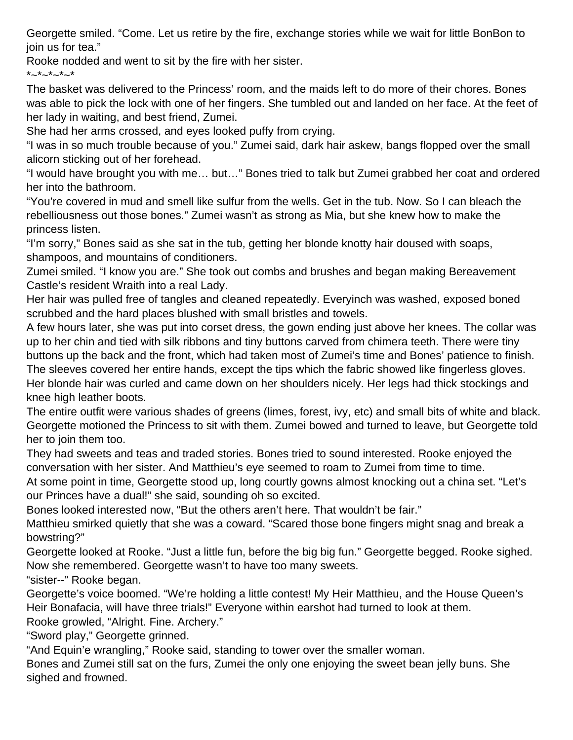Georgette smiled. "Come. Let us retire by the fire, exchange stories while we wait for little BonBon to join us for tea."

Rooke nodded and went to sit by the fire with her sister.

 $*_{\sim}*_{\sim}*_{\sim}*_{\sim}*$ 

The basket was delivered to the Princess' room, and the maids left to do more of their chores. Bones was able to pick the lock with one of her fingers. She tumbled out and landed on her face. At the feet of her lady in waiting, and best friend, Zumei.

She had her arms crossed, and eyes looked puffy from crying.

"I was in so much trouble because of you." Zumei said, dark hair askew, bangs flopped over the small alicorn sticking out of her forehead.

"I would have brought you with me… but…" Bones tried to talk but Zumei grabbed her coat and ordered her into the bathroom.

"You're covered in mud and smell like sulfur from the wells. Get in the tub. Now. So I can bleach the rebelliousness out those bones." Zumei wasn't as strong as Mia, but she knew how to make the princess listen.

"I'm sorry," Bones said as she sat in the tub, getting her blonde knotty hair doused with soaps, shampoos, and mountains of conditioners.

Zumei smiled. "I know you are." She took out combs and brushes and began making Bereavement Castle's resident Wraith into a real Lady.

Her hair was pulled free of tangles and cleaned repeatedly. Everyinch was washed, exposed boned scrubbed and the hard places blushed with small bristles and towels.

A few hours later, she was put into corset dress, the gown ending just above her knees. The collar was up to her chin and tied with silk ribbons and tiny buttons carved from chimera teeth. There were tiny buttons up the back and the front, which had taken most of Zumei's time and Bones' patience to finish. The sleeves covered her entire hands, except the tips which the fabric showed like fingerless gloves. Her blonde hair was curled and came down on her shoulders nicely. Her legs had thick stockings and knee high leather boots.

The entire outfit were various shades of greens (limes, forest, ivy, etc) and small bits of white and black. Georgette motioned the Princess to sit with them. Zumei bowed and turned to leave, but Georgette told her to join them too.

They had sweets and teas and traded stories. Bones tried to sound interested. Rooke enjoyed the conversation with her sister. And Matthieu's eye seemed to roam to Zumei from time to time.

At some point in time, Georgette stood up, long courtly gowns almost knocking out a china set. "Let's our Princes have a dual!" she said, sounding oh so excited.

Bones looked interested now, "But the others aren't here. That wouldn't be fair."

Matthieu smirked quietly that she was a coward. "Scared those bone fingers might snag and break a bowstring?"

Georgette looked at Rooke. "Just a little fun, before the big big fun." Georgette begged. Rooke sighed. Now she remembered. Georgette wasn't to have too many sweets.

"sister--" Rooke began.

Georgette's voice boomed. "We're holding a little contest! My Heir Matthieu, and the House Queen's Heir Bonafacia, will have three trials!" Everyone within earshot had turned to look at them.

Rooke growled, "Alright. Fine. Archery."

"Sword play," Georgette grinned.

"And Equin'e wrangling," Rooke said, standing to tower over the smaller woman.

Bones and Zumei still sat on the furs, Zumei the only one enjoying the sweet bean jelly buns. She sighed and frowned.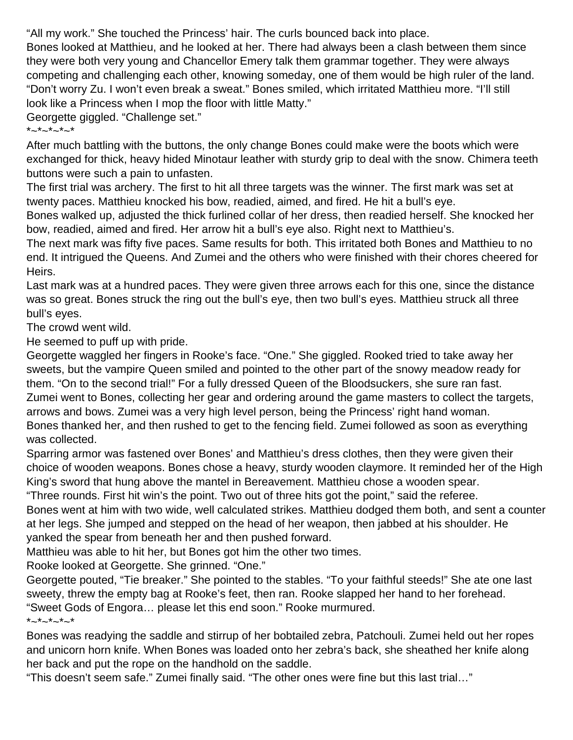"All my work." She touched the Princess' hair. The curls bounced back into place.

Bones looked at Matthieu, and he looked at her. There had always been a clash between them since they were both very young and Chancellor Emery talk them grammar together. They were always competing and challenging each other, knowing someday, one of them would be high ruler of the land. "Don't worry Zu. I won't even break a sweat." Bones smiled, which irritated Matthieu more. "I'll still look like a Princess when I mop the floor with little Matty."

Georgette giggled. "Challenge set."

## $*_{\sim}*_{\sim}*_{\sim}*_{\sim}*$

After much battling with the buttons, the only change Bones could make were the boots which were exchanged for thick, heavy hided Minotaur leather with sturdy grip to deal with the snow. Chimera teeth buttons were such a pain to unfasten.

The first trial was archery. The first to hit all three targets was the winner. The first mark was set at twenty paces. Matthieu knocked his bow, readied, aimed, and fired. He hit a bull's eye.

Bones walked up, adjusted the thick furlined collar of her dress, then readied herself. She knocked her bow, readied, aimed and fired. Her arrow hit a bull's eye also. Right next to Matthieu's.

The next mark was fifty five paces. Same results for both. This irritated both Bones and Matthieu to no end. It intrigued the Queens. And Zumei and the others who were finished with their chores cheered for Heirs.

Last mark was at a hundred paces. They were given three arrows each for this one, since the distance was so great. Bones struck the ring out the bull's eye, then two bull's eyes. Matthieu struck all three bull's eyes.

The crowd went wild.

He seemed to puff up with pride.

Georgette waggled her fingers in Rooke's face. "One." She giggled. Rooked tried to take away her sweets, but the vampire Queen smiled and pointed to the other part of the snowy meadow ready for them. "On to the second trial!" For a fully dressed Queen of the Bloodsuckers, she sure ran fast. Zumei went to Bones, collecting her gear and ordering around the game masters to collect the targets, arrows and bows. Zumei was a very high level person, being the Princess' right hand woman. Bones thanked her, and then rushed to get to the fencing field. Zumei followed as soon as everything was collected.

Sparring armor was fastened over Bones' and Matthieu's dress clothes, then they were given their choice of wooden weapons. Bones chose a heavy, sturdy wooden claymore. It reminded her of the High King's sword that hung above the mantel in Bereavement. Matthieu chose a wooden spear.

"Three rounds. First hit win's the point. Two out of three hits got the point," said the referee.

Bones went at him with two wide, well calculated strikes. Matthieu dodged them both, and sent a counter at her legs. She jumped and stepped on the head of her weapon, then jabbed at his shoulder. He yanked the spear from beneath her and then pushed forward.

Matthieu was able to hit her, but Bones got him the other two times.

Rooke looked at Georgette. She grinned. "One."

Georgette pouted, "Tie breaker." She pointed to the stables. "To your faithful steeds!" She ate one last sweety, threw the empty bag at Rooke's feet, then ran. Rooke slapped her hand to her forehead. "Sweet Gods of Engora… please let this end soon." Rooke murmured.  $*_{\sim}*_{\sim}*_{\sim}*_{\sim}*$ 

Bones was readying the saddle and stirrup of her bobtailed zebra, Patchouli. Zumei held out her ropes and unicorn horn knife. When Bones was loaded onto her zebra's back, she sheathed her knife along her back and put the rope on the handhold on the saddle.

"This doesn't seem safe." Zumei finally said. "The other ones were fine but this last trial…"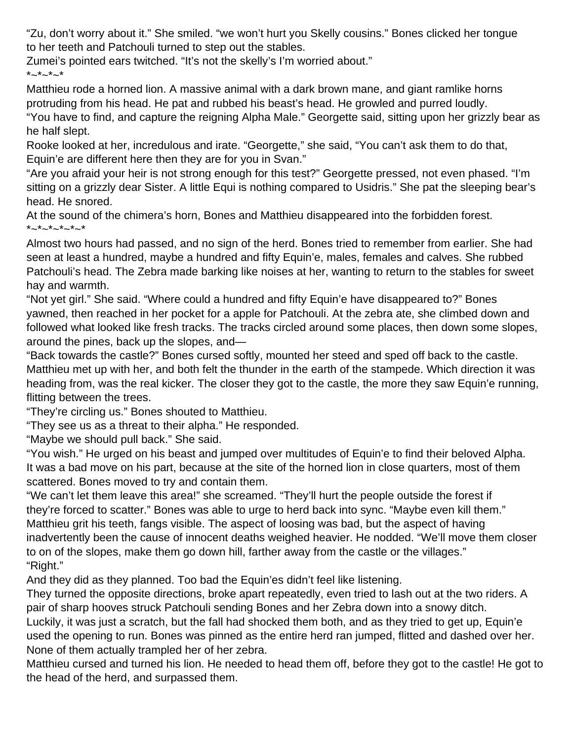"Zu, don't worry about it." She smiled. "we won't hurt you Skelly cousins." Bones clicked her tongue to her teeth and Patchouli turned to step out the stables.

Zumei's pointed ears twitched. "It's not the skelly's I'm worried about."  $*_{\sim}*_{\sim}*_{\sim}*$ 

Matthieu rode a horned lion. A massive animal with a dark brown mane, and giant ramlike horns protruding from his head. He pat and rubbed his beast's head. He growled and purred loudly.

"You have to find, and capture the reigning Alpha Male." Georgette said, sitting upon her grizzly bear as he half slept.

Rooke looked at her, incredulous and irate. "Georgette," she said, "You can't ask them to do that, Equin'e are different here then they are for you in Svan."

"Are you afraid your heir is not strong enough for this test?" Georgette pressed, not even phased. "I'm sitting on a grizzly dear Sister. A little Equi is nothing compared to Usidris." She pat the sleeping bear's head. He snored.

At the sound of the chimera's horn, Bones and Matthieu disappeared into the forbidden forest.  $*$   $*$   $*$   $*$   $*$   $*$   $*$   $*$ 

Almost two hours had passed, and no sign of the herd. Bones tried to remember from earlier. She had seen at least a hundred, maybe a hundred and fifty Equin'e, males, females and calves. She rubbed Patchouli's head. The Zebra made barking like noises at her, wanting to return to the stables for sweet hay and warmth.

"Not yet girl." She said. "Where could a hundred and fifty Equin'e have disappeared to?" Bones yawned, then reached in her pocket for a apple for Patchouli. At the zebra ate, she climbed down and followed what looked like fresh tracks. The tracks circled around some places, then down some slopes, around the pines, back up the slopes, and—

"Back towards the castle?" Bones cursed softly, mounted her steed and sped off back to the castle. Matthieu met up with her, and both felt the thunder in the earth of the stampede. Which direction it was heading from, was the real kicker. The closer they got to the castle, the more they saw Equin'e running, flitting between the trees.

"They're circling us." Bones shouted to Matthieu.

"They see us as a threat to their alpha." He responded.

"Maybe we should pull back." She said.

"You wish." He urged on his beast and jumped over multitudes of Equin'e to find their beloved Alpha. It was a bad move on his part, because at the site of the horned lion in close quarters, most of them scattered. Bones moved to try and contain them.

"We can't let them leave this area!" she screamed. "They'll hurt the people outside the forest if they're forced to scatter." Bones was able to urge to herd back into sync. "Maybe even kill them." Matthieu grit his teeth, fangs visible. The aspect of loosing was bad, but the aspect of having inadvertently been the cause of innocent deaths weighed heavier. He nodded. "We'll move them closer to on of the slopes, make them go down hill, farther away from the castle or the villages." "Right."

And they did as they planned. Too bad the Equin'es didn't feel like listening.

They turned the opposite directions, broke apart repeatedly, even tried to lash out at the two riders. A pair of sharp hooves struck Patchouli sending Bones and her Zebra down into a snowy ditch. Luckily, it was just a scratch, but the fall had shocked them both, and as they tried to get up, Equin'e

used the opening to run. Bones was pinned as the entire herd ran jumped, flitted and dashed over her. None of them actually trampled her of her zebra.

Matthieu cursed and turned his lion. He needed to head them off, before they got to the castle! He got to the head of the herd, and surpassed them.